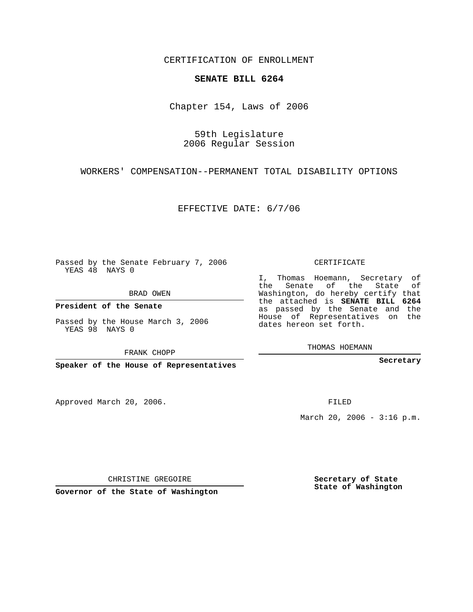CERTIFICATION OF ENROLLMENT

## **SENATE BILL 6264**

Chapter 154, Laws of 2006

59th Legislature 2006 Regular Session

WORKERS' COMPENSATION--PERMANENT TOTAL DISABILITY OPTIONS

EFFECTIVE DATE: 6/7/06

Passed by the Senate February 7, 2006 YEAS 48 NAYS 0

BRAD OWEN

**President of the Senate**

Passed by the House March 3, 2006 YEAS 98 NAYS 0

FRANK CHOPP

**Speaker of the House of Representatives**

Approved March 20, 2006.

CERTIFICATE

I, Thomas Hoemann, Secretary of the Senate of the State of Washington, do hereby certify that the attached is **SENATE BILL 6264** as passed by the Senate and the House of Representatives on the dates hereon set forth.

THOMAS HOEMANN

**Secretary**

FILED

March 20, 2006 -  $3:16$  p.m.

CHRISTINE GREGOIRE

**Governor of the State of Washington**

**Secretary of State State of Washington**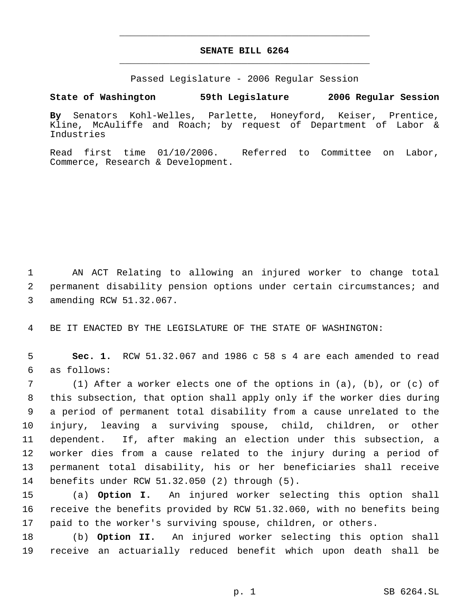## **SENATE BILL 6264** \_\_\_\_\_\_\_\_\_\_\_\_\_\_\_\_\_\_\_\_\_\_\_\_\_\_\_\_\_\_\_\_\_\_\_\_\_\_\_\_\_\_\_\_\_

\_\_\_\_\_\_\_\_\_\_\_\_\_\_\_\_\_\_\_\_\_\_\_\_\_\_\_\_\_\_\_\_\_\_\_\_\_\_\_\_\_\_\_\_\_

Passed Legislature - 2006 Regular Session

## **State of Washington 59th Legislature 2006 Regular Session**

**By** Senators Kohl-Welles, Parlette, Honeyford, Keiser, Prentice, Kline, McAuliffe and Roach; by request of Department of Labor & Industries

Read first time 01/10/2006. Referred to Committee on Labor, Commerce, Research & Development.

 AN ACT Relating to allowing an injured worker to change total permanent disability pension options under certain circumstances; and amending RCW 51.32.067.

BE IT ENACTED BY THE LEGISLATURE OF THE STATE OF WASHINGTON:

 **Sec. 1.** RCW 51.32.067 and 1986 c 58 s 4 are each amended to read as follows:

 (1) After a worker elects one of the options in (a), (b), or (c) of this subsection, that option shall apply only if the worker dies during a period of permanent total disability from a cause unrelated to the injury, leaving a surviving spouse, child, children, or other dependent. If, after making an election under this subsection, a worker dies from a cause related to the injury during a period of permanent total disability, his or her beneficiaries shall receive benefits under RCW 51.32.050 (2) through (5).

 (a) **Option I.** An injured worker selecting this option shall receive the benefits provided by RCW 51.32.060, with no benefits being paid to the worker's surviving spouse, children, or others.

 (b) **Option II.** An injured worker selecting this option shall receive an actuarially reduced benefit which upon death shall be